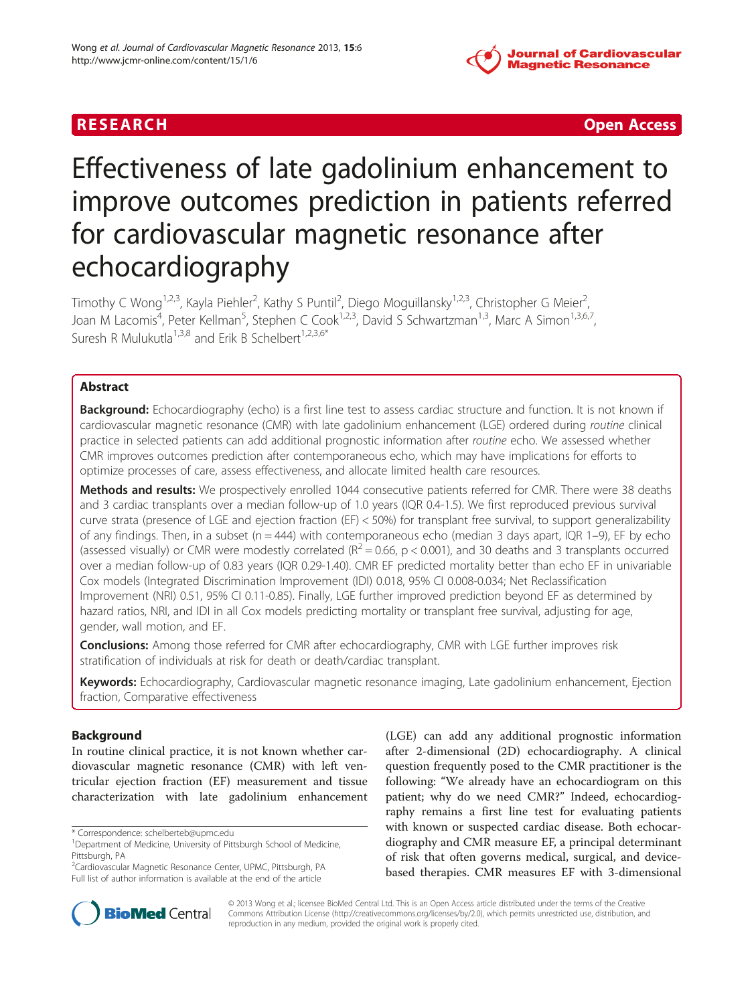# **Journal of Cardiovascular Magnetic Resonance**

R E S EAR CH Open Access

# Effectiveness of late gadolinium enhancement to improve outcomes prediction in patients referred for cardiovascular magnetic resonance after echocardiography

Timothy C Wong<sup>1,2,3</sup>, Kayla Piehler<sup>2</sup>, Kathy S Puntil<sup>2</sup>, Diego Moguillansky<sup>1,2,3</sup>, Christopher G Meier<sup>2</sup> , Joan M Lacomis<sup>4</sup>, Peter Kellman<sup>5</sup>, Stephen C Cook<sup>1,2,3</sup>, David S Schwartzman<sup>1,3</sup>, Marc A Simon<sup>1,3,6,7</sup>, Suresh R Mulukutla<sup>1,3,8</sup> and Erik B Schelbert<sup>1,2,3,6\*</sup>

# Abstract

Background: Echocardiography (echo) is a first line test to assess cardiac structure and function. It is not known if cardiovascular magnetic resonance (CMR) with late gadolinium enhancement (LGE) ordered during routine clinical practice in selected patients can add additional prognostic information after routine echo. We assessed whether CMR improves outcomes prediction after contemporaneous echo, which may have implications for efforts to optimize processes of care, assess effectiveness, and allocate limited health care resources.

Methods and results: We prospectively enrolled 1044 consecutive patients referred for CMR. There were 38 deaths and 3 cardiac transplants over a median follow-up of 1.0 years (IQR 0.4-1.5). We first reproduced previous survival curve strata (presence of LGE and ejection fraction (EF) < 50%) for transplant free survival, to support generalizability of any findings. Then, in a subset ( $n = 444$ ) with contemporaneous echo (median 3 days apart, IQR 1–9), EF by echo (assessed visually) or CMR were modestly correlated ( $R^2 = 0.66$ ,  $p < 0.001$ ), and 30 deaths and 3 transplants occurred over a median follow-up of 0.83 years (IQR 0.29-1.40). CMR EF predicted mortality better than echo EF in univariable Cox models (Integrated Discrimination Improvement (IDI) 0.018, 95% CI 0.008-0.034; Net Reclassification Improvement (NRI) 0.51, 95% CI 0.11-0.85). Finally, LGE further improved prediction beyond EF as determined by hazard ratios, NRI, and IDI in all Cox models predicting mortality or transplant free survival, adjusting for age, gender, wall motion, and EF.

**Conclusions:** Among those referred for CMR after echocardiography, CMR with LGE further improves risk stratification of individuals at risk for death or death/cardiac transplant.

Keywords: Echocardiography, Cardiovascular magnetic resonance imaging, Late gadolinium enhancement, Ejection fraction, Comparative effectiveness

# Background

In routine clinical practice, it is not known whether cardiovascular magnetic resonance (CMR) with left ventricular ejection fraction (EF) measurement and tissue characterization with late gadolinium enhancement

\* Correspondence: [schelberteb@upmc.edu](mailto:schelberteb@upmc.edu) <sup>1</sup>

2 Cardiovascular Magnetic Resonance Center, UPMC, Pittsburgh, PA Full list of author information is available at the end of the article

(LGE) can add any additional prognostic information after 2-dimensional (2D) echocardiography. A clinical question frequently posed to the CMR practitioner is the following: "We already have an echocardiogram on this patient; why do we need CMR?" Indeed, echocardiography remains a first line test for evaluating patients with known or suspected cardiac disease. Both echocardiography and CMR measure EF, a principal determinant of risk that often governs medical, surgical, and devicebased therapies. CMR measures EF with 3-dimensional



© 2013 Wong et al.; licensee BioMed Central Ltd. This is an Open Access article distributed under the terms of the Creative Commons Attribution License [\(http://creativecommons.org/licenses/by/2.0\)](http://creativecommons.org/licenses/by/2.0), which permits unrestricted use, distribution, and reproduction in any medium, provided the original work is properly cited.

<sup>&</sup>lt;sup>1</sup>Department of Medicine, University of Pittsburgh School of Medicine, Pittsburgh, PA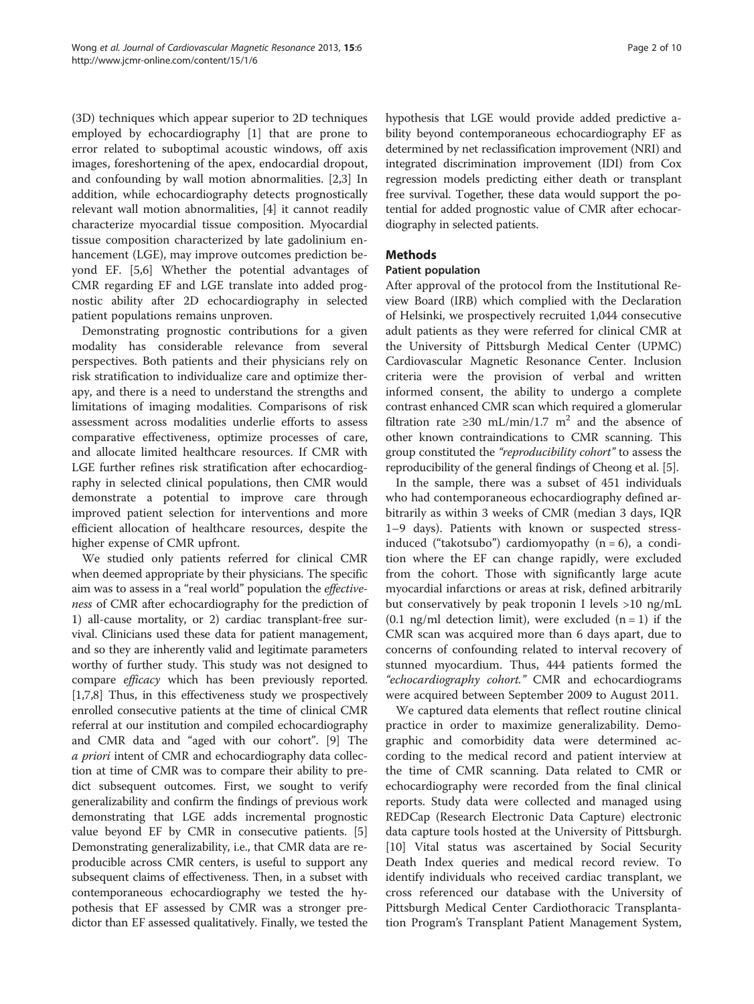(3D) techniques which appear superior to 2D techniques employed by echocardiography [[1\]](#page-8-0) that are prone to

error related to suboptimal acoustic windows, off axis images, foreshortening of the apex, endocardial dropout, and confounding by wall motion abnormalities. [[2,3\]](#page-8-0) In addition, while echocardiography detects prognostically relevant wall motion abnormalities, [[4\]](#page-8-0) it cannot readily characterize myocardial tissue composition. Myocardial tissue composition characterized by late gadolinium enhancement (LGE), may improve outcomes prediction beyond EF. [[5,6\]](#page-8-0) Whether the potential advantages of CMR regarding EF and LGE translate into added prognostic ability after 2D echocardiography in selected patient populations remains unproven.

Demonstrating prognostic contributions for a given modality has considerable relevance from several perspectives. Both patients and their physicians rely on risk stratification to individualize care and optimize therapy, and there is a need to understand the strengths and limitations of imaging modalities. Comparisons of risk assessment across modalities underlie efforts to assess comparative effectiveness, optimize processes of care, and allocate limited healthcare resources. If CMR with LGE further refines risk stratification after echocardiography in selected clinical populations, then CMR would demonstrate a potential to improve care through improved patient selection for interventions and more efficient allocation of healthcare resources, despite the higher expense of CMR upfront.

We studied only patients referred for clinical CMR when deemed appropriate by their physicians. The specific aim was to assess in a "real world" population the effectiveness of CMR after echocardiography for the prediction of 1) all-cause mortality, or 2) cardiac transplant-free survival. Clinicians used these data for patient management, and so they are inherently valid and legitimate parameters worthy of further study. This study was not designed to compare efficacy which has been previously reported. [[1,7](#page-8-0),[8](#page-8-0)] Thus, in this effectiveness study we prospectively enrolled consecutive patients at the time of clinical CMR referral at our institution and compiled echocardiography and CMR data and "aged with our cohort". [[9](#page-8-0)] The a priori intent of CMR and echocardiography data collection at time of CMR was to compare their ability to predict subsequent outcomes. First, we sought to verify generalizability and confirm the findings of previous work demonstrating that LGE adds incremental prognostic value beyond EF by CMR in consecutive patients. [[5](#page-8-0)] Demonstrating generalizability, i.e., that CMR data are reproducible across CMR centers, is useful to support any subsequent claims of effectiveness. Then, in a subset with contemporaneous echocardiography we tested the hypothesis that EF assessed by CMR was a stronger predictor than EF assessed qualitatively. Finally, we tested the hypothesis that LGE would provide added predictive ability beyond contemporaneous echocardiography EF as determined by net reclassification improvement (NRI) and integrated discrimination improvement (IDI) from Cox regression models predicting either death or transplant free survival. Together, these data would support the potential for added prognostic value of CMR after echocardiography in selected patients.

# **Methods**

# Patient population

After approval of the protocol from the Institutional Review Board (IRB) which complied with the Declaration of Helsinki, we prospectively recruited 1,044 consecutive adult patients as they were referred for clinical CMR at the University of Pittsburgh Medical Center (UPMC) Cardiovascular Magnetic Resonance Center. Inclusion criteria were the provision of verbal and written informed consent, the ability to undergo a complete contrast enhanced CMR scan which required a glomerular filtration rate ≥30 mL/min/1.7 m<sup>2</sup> and the absence of other known contraindications to CMR scanning. This group constituted the "reproducibility cohort" to assess the reproducibility of the general findings of Cheong et al. [\[5](#page-8-0)].

In the sample, there was a subset of 451 individuals who had contemporaneous echocardiography defined arbitrarily as within 3 weeks of CMR (median 3 days, IQR 1–9 days). Patients with known or suspected stressinduced ("takotsubo") cardiomyopathy  $(n = 6)$ , a condition where the EF can change rapidly, were excluded from the cohort. Those with significantly large acute myocardial infarctions or areas at risk, defined arbitrarily but conservatively by peak troponin I levels >10 ng/mL  $(0.1 \text{ ng/ml detection limit})$ , were excluded  $(n = 1)$  if the CMR scan was acquired more than 6 days apart, due to concerns of confounding related to interval recovery of stunned myocardium. Thus, 444 patients formed the "echocardiography cohort." CMR and echocardiograms were acquired between September 2009 to August 2011.

We captured data elements that reflect routine clinical practice in order to maximize generalizability. Demographic and comorbidity data were determined according to the medical record and patient interview at the time of CMR scanning. Data related to CMR or echocardiography were recorded from the final clinical reports. Study data were collected and managed using REDCap (Research Electronic Data Capture) electronic data capture tools hosted at the University of Pittsburgh. [[10\]](#page-8-0) Vital status was ascertained by Social Security Death Index queries and medical record review. To identify individuals who received cardiac transplant, we cross referenced our database with the University of Pittsburgh Medical Center Cardiothoracic Transplantation Program's Transplant Patient Management System,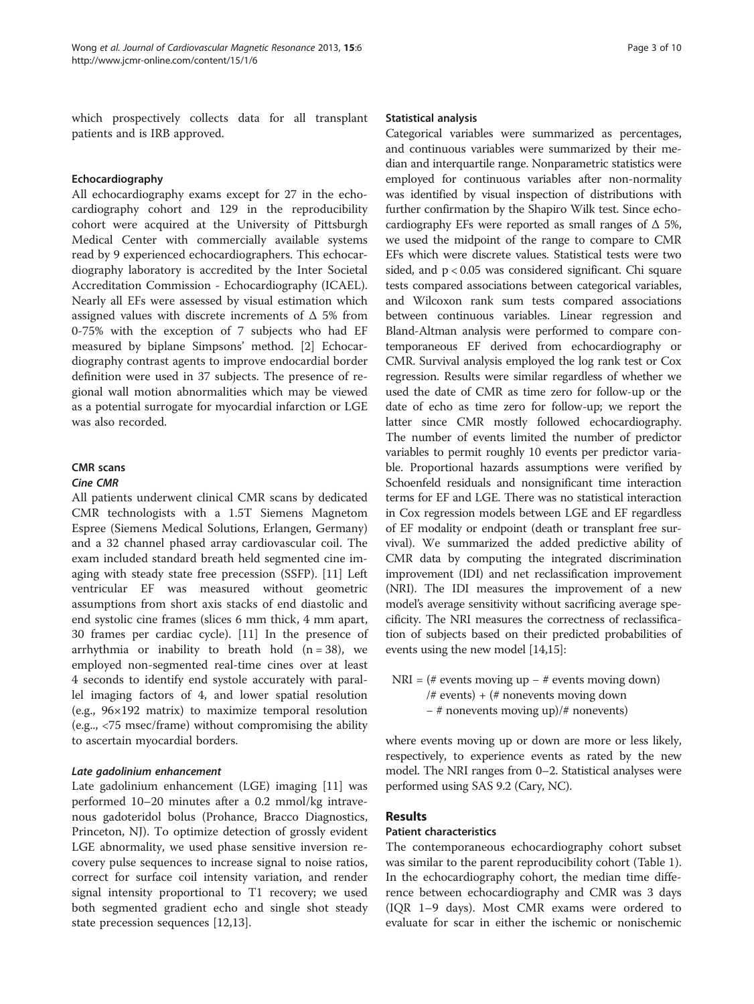which prospectively collects data for all transplant patients and is IRB approved.

# Echocardiography

All echocardiography exams except for 27 in the echocardiography cohort and 129 in the reproducibility cohort were acquired at the University of Pittsburgh Medical Center with commercially available systems read by 9 experienced echocardiographers. This echocardiography laboratory is accredited by the Inter Societal Accreditation Commission - Echocardiography (ICAEL). Nearly all EFs were assessed by visual estimation which assigned values with discrete increments of  $\Delta$  5% from 0-75% with the exception of 7 subjects who had EF measured by biplane Simpsons' method. [[2\]](#page-8-0) Echocardiography contrast agents to improve endocardial border definition were used in 37 subjects. The presence of regional wall motion abnormalities which may be viewed as a potential surrogate for myocardial infarction or LGE was also recorded.

# CMR scans

# Cine CMR

All patients underwent clinical CMR scans by dedicated CMR technologists with a 1.5T Siemens Magnetom Espree (Siemens Medical Solutions, Erlangen, Germany) and a 32 channel phased array cardiovascular coil. The exam included standard breath held segmented cine imaging with steady state free precession (SSFP). [[11\]](#page-8-0) Left ventricular EF was measured without geometric assumptions from short axis stacks of end diastolic and end systolic cine frames (slices 6 mm thick, 4 mm apart, 30 frames per cardiac cycle). [\[11](#page-8-0)] In the presence of arrhythmia or inability to breath hold  $(n = 38)$ , we employed non-segmented real-time cines over at least 4 seconds to identify end systole accurately with parallel imaging factors of 4, and lower spatial resolution (e.g., 96×192 matrix) to maximize temporal resolution (e.g.., <75 msec/frame) without compromising the ability to ascertain myocardial borders.

# Late gadolinium enhancement

Late gadolinium enhancement (LGE) imaging [[11\]](#page-8-0) was performed 10–20 minutes after a 0.2 mmol/kg intravenous gadoteridol bolus (Prohance, Bracco Diagnostics, Princeton, NJ). To optimize detection of grossly evident LGE abnormality, we used phase sensitive inversion recovery pulse sequences to increase signal to noise ratios, correct for surface coil intensity variation, and render signal intensity proportional to T1 recovery; we used both segmented gradient echo and single shot steady state precession sequences [[12](#page-8-0),[13](#page-8-0)].

# Statistical analysis

Categorical variables were summarized as percentages, and continuous variables were summarized by their median and interquartile range. Nonparametric statistics were employed for continuous variables after non-normality was identified by visual inspection of distributions with further confirmation by the Shapiro Wilk test. Since echocardiography EFs were reported as small ranges of  $\Delta$  5%, we used the midpoint of the range to compare to CMR EFs which were discrete values. Statistical tests were two sided, and p < 0.05 was considered significant. Chi square tests compared associations between categorical variables, and Wilcoxon rank sum tests compared associations between continuous variables. Linear regression and Bland-Altman analysis were performed to compare contemporaneous EF derived from echocardiography or CMR. Survival analysis employed the log rank test or Cox regression. Results were similar regardless of whether we used the date of CMR as time zero for follow-up or the date of echo as time zero for follow-up; we report the latter since CMR mostly followed echocardiography. The number of events limited the number of predictor variables to permit roughly 10 events per predictor variable. Proportional hazards assumptions were verified by Schoenfeld residuals and nonsignificant time interaction terms for EF and LGE. There was no statistical interaction in Cox regression models between LGE and EF regardless of EF modality or endpoint (death or transplant free survival). We summarized the added predictive ability of CMR data by computing the integrated discrimination improvement (IDI) and net reclassification improvement (NRI). The IDI measures the improvement of a new model's average sensitivity without sacrificing average specificity. The NRI measures the correctness of reclassification of subjects based on their predicted probabilities of events using the new model [\[14,15](#page-8-0)]:

 $NRI = #$  events moving up  $- #$  events moving down) /# events) + (# nonevents moving down − # nonevents moving up)/# nonevents)

where events moving up or down are more or less likely, respectively, to experience events as rated by the new model. The NRI ranges from 0–2. Statistical analyses were performed using SAS 9.2 (Cary, NC).

# Results

# Patient characteristics

The contemporaneous echocardiography cohort subset was similar to the parent reproducibility cohort (Table [1](#page-3-0)). In the echocardiography cohort, the median time difference between echocardiography and CMR was 3 days (IQR 1–9 days). Most CMR exams were ordered to evaluate for scar in either the ischemic or nonischemic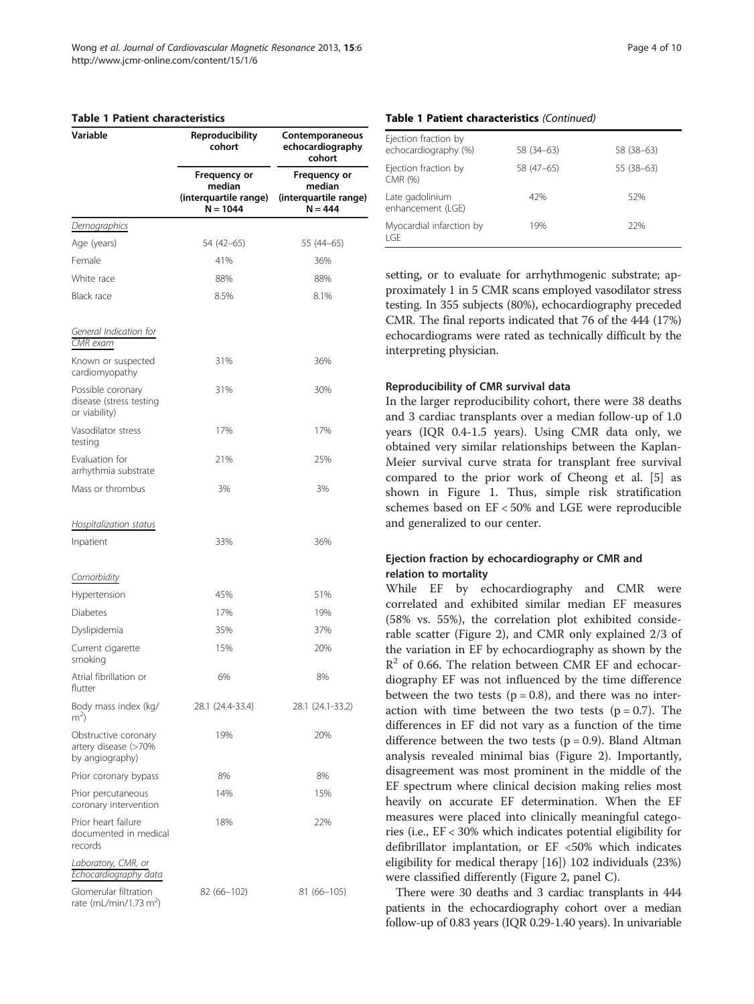# <span id="page-3-0"></span>Table 1 Patient characteristics

| Variable                                                        | <b>Reproducibility</b><br>cohort                              | Contemporaneous<br>echocardiography<br>cohort<br><b>Frequency or</b><br>median<br>(interquartile range)<br>$N = 444$ |  |
|-----------------------------------------------------------------|---------------------------------------------------------------|----------------------------------------------------------------------------------------------------------------------|--|
|                                                                 | Frequency or<br>median<br>(interquartile range)<br>$N = 1044$ |                                                                                                                      |  |
| <u>Demographics</u>                                             |                                                               |                                                                                                                      |  |
| Age (years)                                                     | 54 (42–65)                                                    | 55 (44–65)                                                                                                           |  |
| Female                                                          | 41%                                                           | 36%                                                                                                                  |  |
| White race                                                      | 88%                                                           | 88%                                                                                                                  |  |
| Black race                                                      | 8.5%                                                          | 8.1%                                                                                                                 |  |
| General Indication for<br>CMR exam                              |                                                               |                                                                                                                      |  |
| Known or suspected<br>cardiomyopathy                            | 31%                                                           | 36%                                                                                                                  |  |
| Possible coronary<br>disease (stress testing<br>or viability)   | 31%                                                           | 30%                                                                                                                  |  |
| Vasodilator stress<br>testing                                   | 17%                                                           | 17%                                                                                                                  |  |
| Evaluation for<br>arrhythmia substrate                          | 21%                                                           | 25%                                                                                                                  |  |
| Mass or thrombus                                                | 3%                                                            | 3%                                                                                                                   |  |
| Hospitalization status                                          |                                                               |                                                                                                                      |  |
| Inpatient                                                       | 33%                                                           | 36%                                                                                                                  |  |
| Comorbidity                                                     |                                                               |                                                                                                                      |  |
| Hypertension                                                    | 45%                                                           | 51%                                                                                                                  |  |
| Diabetes                                                        | 17%                                                           | 19%                                                                                                                  |  |
| Dyslipidemia                                                    | 35%                                                           | 37%                                                                                                                  |  |
| Current cigarette<br>smoking                                    | 15%                                                           | 20%                                                                                                                  |  |
| Atrial fibrillation or<br>flutter                               | 6%                                                            | 8%                                                                                                                   |  |
| Body mass index (kg/<br>m <sup>2</sup>                          | 28.1 (24.4-33.4)                                              | 28.1 (24.1-33.2)                                                                                                     |  |
| Obstructive coronary<br>artery disease (>70%<br>by angiography) | 19%                                                           | 20%                                                                                                                  |  |
| Prior coronary bypass                                           | 8%                                                            | 8%                                                                                                                   |  |
| Prior percutaneous<br>coronary intervention                     | 14%                                                           | 15%                                                                                                                  |  |
| Prior heart failure<br>documented in medical<br>records         | 18%                                                           | 22%                                                                                                                  |  |
| Laboratory, CMR, or<br>Echocardiography data                    |                                                               |                                                                                                                      |  |
| Glomerular filtration<br>rate (mL/min/1.73 m <sup>2</sup> )     | 82 (66–102)                                                   | 81 (66–105)                                                                                                          |  |

# Table 1 Patient characteristics (Continued)

| Ejection fraction by<br>echocardiography (%) | 58 (34–63) | 58 (38 - 63) |
|----------------------------------------------|------------|--------------|
| Ejection fraction by<br>CMR (%)              | 58 (47-65) | $55(38-63)$  |
| Late gadolinium<br>enhancement (LGE)         | 42%        | 52%          |
| Myocardial infarction by<br>I GE             | 19%        | 22%          |

setting, or to evaluate for arrhythmogenic substrate; approximately 1 in 5 CMR scans employed vasodilator stress testing. In 355 subjects (80%), echocardiography preceded CMR. The final reports indicated that 76 of the 444 (17%) echocardiograms were rated as technically difficult by the interpreting physician.

# Reproducibility of CMR survival data

In the larger reproducibility cohort, there were 38 deaths and 3 cardiac transplants over a median follow-up of 1.0 years (IQR 0.4-1.5 years). Using CMR data only, we obtained very similar relationships between the Kaplan-Meier survival curve strata for transplant free survival compared to the prior work of Cheong et al. [[5\]](#page-8-0) as shown in Figure [1](#page-4-0). Thus, simple risk stratification schemes based on EF < 50% and LGE were reproducible and generalized to our center.

# Ejection fraction by echocardiography or CMR and relation to mortality

While EF by echocardiography and CMR were correlated and exhibited similar median EF measures (58% vs. 55%), the correlation plot exhibited considerable scatter (Figure [2\)](#page-5-0), and CMR only explained 2/3 of the variation in EF by echocardiography as shown by the  $R<sup>2</sup>$  of 0.66. The relation between CMR EF and echocardiography EF was not influenced by the time difference between the two tests ( $p = 0.8$ ), and there was no interaction with time between the two tests ( $p = 0.7$ ). The differences in EF did not vary as a function of the time difference between the two tests ( $p = 0.9$ ). Bland Altman analysis revealed minimal bias (Figure [2\)](#page-5-0). Importantly, disagreement was most prominent in the middle of the EF spectrum where clinical decision making relies most heavily on accurate EF determination. When the EF measures were placed into clinically meaningful categories (i.e., EF < 30% which indicates potential eligibility for defibrillator implantation, or EF <50% which indicates eligibility for medical therapy [\[16](#page-9-0)]) 102 individuals (23%) were classified differently (Figure [2,](#page-5-0) panel C).

There were 30 deaths and 3 cardiac transplants in 444 patients in the echocardiography cohort over a median follow-up of 0.83 years (IQR 0.29-1.40 years). In univariable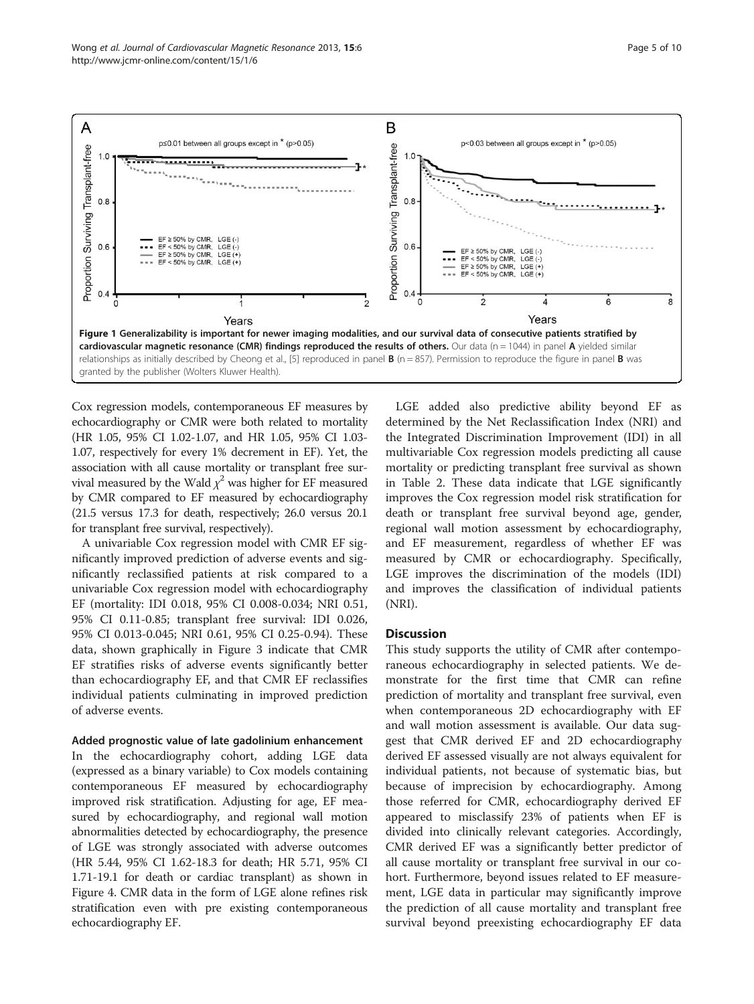<span id="page-4-0"></span>

Cox regression models, contemporaneous EF measures by echocardiography or CMR were both related to mortality (HR 1.05, 95% CI 1.02-1.07, and HR 1.05, 95% CI 1.03- 1.07, respectively for every 1% decrement in EF). Yet, the association with all cause mortality or transplant free survival measured by the Wald  $\chi^2$  was higher for EF measured by CMR compared to EF measured by echocardiography (21.5 versus 17.3 for death, respectively; 26.0 versus 20.1 for transplant free survival, respectively).

A univariable Cox regression model with CMR EF significantly improved prediction of adverse events and significantly reclassified patients at risk compared to a univariable Cox regression model with echocardiography EF (mortality: IDI 0.018, 95% CI 0.008-0.034; NRI 0.51, 95% CI 0.11-0.85; transplant free survival: IDI 0.026, 95% CI 0.013-0.045; NRI 0.61, 95% CI 0.25-0.94). These data, shown graphically in Figure [3](#page-6-0) indicate that CMR EF stratifies risks of adverse events significantly better than echocardiography EF, and that CMR EF reclassifies individual patients culminating in improved prediction of adverse events.

# Added prognostic value of late gadolinium enhancement

In the echocardiography cohort, adding LGE data (expressed as a binary variable) to Cox models containing contemporaneous EF measured by echocardiography improved risk stratification. Adjusting for age, EF measured by echocardiography, and regional wall motion abnormalities detected by echocardiography, the presence of LGE was strongly associated with adverse outcomes (HR 5.44, 95% CI 1.62-18.3 for death; HR 5.71, 95% CI 1.71-19.1 for death or cardiac transplant) as shown in Figure [4.](#page-6-0) CMR data in the form of LGE alone refines risk stratification even with pre existing contemporaneous echocardiography EF.

LGE added also predictive ability beyond EF as determined by the Net Reclassification Index (NRI) and the Integrated Discrimination Improvement (IDI) in all multivariable Cox regression models predicting all cause mortality or predicting transplant free survival as shown in Table [2.](#page-7-0) These data indicate that LGE significantly improves the Cox regression model risk stratification for death or transplant free survival beyond age, gender, regional wall motion assessment by echocardiography, and EF measurement, regardless of whether EF was measured by CMR or echocardiography. Specifically, LGE improves the discrimination of the models (IDI) and improves the classification of individual patients (NRI).

# **Discussion**

This study supports the utility of CMR after contemporaneous echocardiography in selected patients. We demonstrate for the first time that CMR can refine prediction of mortality and transplant free survival, even when contemporaneous 2D echocardiography with EF and wall motion assessment is available. Our data suggest that CMR derived EF and 2D echocardiography derived EF assessed visually are not always equivalent for individual patients, not because of systematic bias, but because of imprecision by echocardiography. Among those referred for CMR, echocardiography derived EF appeared to misclassify 23% of patients when EF is divided into clinically relevant categories. Accordingly, CMR derived EF was a significantly better predictor of all cause mortality or transplant free survival in our cohort. Furthermore, beyond issues related to EF measurement, LGE data in particular may significantly improve the prediction of all cause mortality and transplant free survival beyond preexisting echocardiography EF data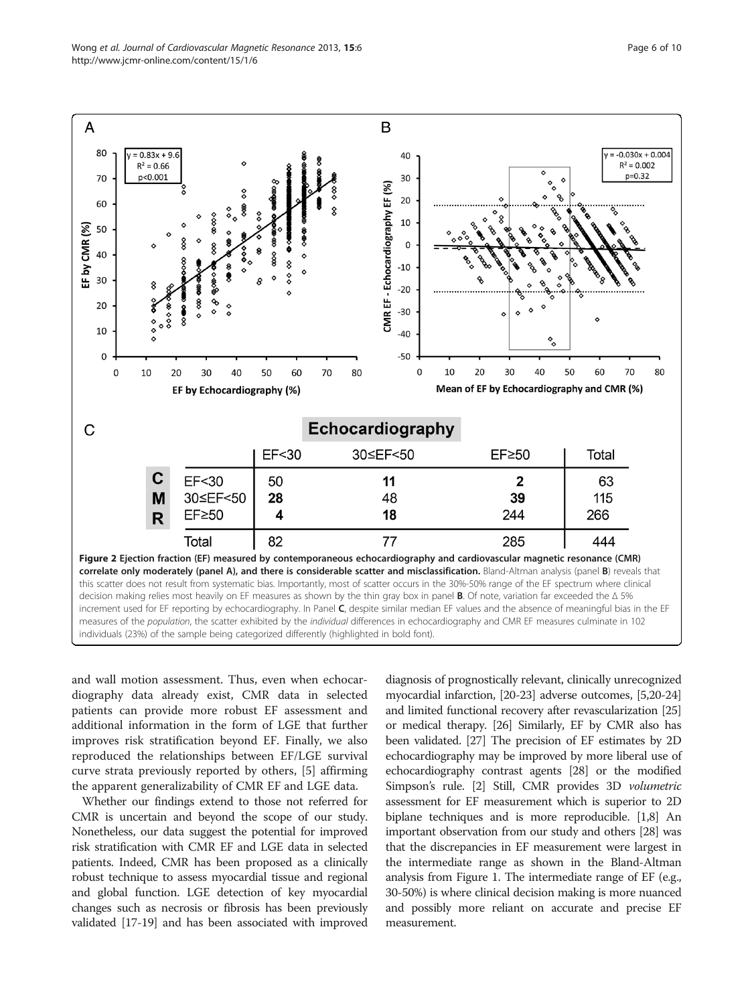<span id="page-5-0"></span>

and wall motion assessment. Thus, even when echocardiography data already exist, CMR data in selected patients can provide more robust EF assessment and additional information in the form of LGE that further improves risk stratification beyond EF. Finally, we also reproduced the relationships between EF/LGE survival curve strata previously reported by others, [\[5](#page-8-0)] affirming the apparent generalizability of CMR EF and LGE data.

Whether our findings extend to those not referred for CMR is uncertain and beyond the scope of our study. Nonetheless, our data suggest the potential for improved risk stratification with CMR EF and LGE data in selected patients. Indeed, CMR has been proposed as a clinically robust technique to assess myocardial tissue and regional and global function. LGE detection of key myocardial changes such as necrosis or fibrosis has been previously validated [\[17-19](#page-9-0)] and has been associated with improved diagnosis of prognostically relevant, clinically unrecognized myocardial infarction, [[20-23](#page-9-0)] adverse outcomes, [\[5,](#page-8-0)[20](#page-9-0)-[24](#page-9-0)] and limited functional recovery after revascularization [[25](#page-9-0)] or medical therapy. [\[26\]](#page-9-0) Similarly, EF by CMR also has been validated. [\[27](#page-9-0)] The precision of EF estimates by 2D echocardiography may be improved by more liberal use of echocardiography contrast agents [[28](#page-9-0)] or the modified Simpson's rule. [\[2\]](#page-8-0) Still, CMR provides 3D volumetric assessment for EF measurement which is superior to 2D biplane techniques and is more reproducible. [\[1,8\]](#page-8-0) An important observation from our study and others [\[28\]](#page-9-0) was that the discrepancies in EF measurement were largest in the intermediate range as shown in the Bland-Altman analysis from Figure [1.](#page-4-0) The intermediate range of EF (e.g., 30-50%) is where clinical decision making is more nuanced and possibly more reliant on accurate and precise EF measurement.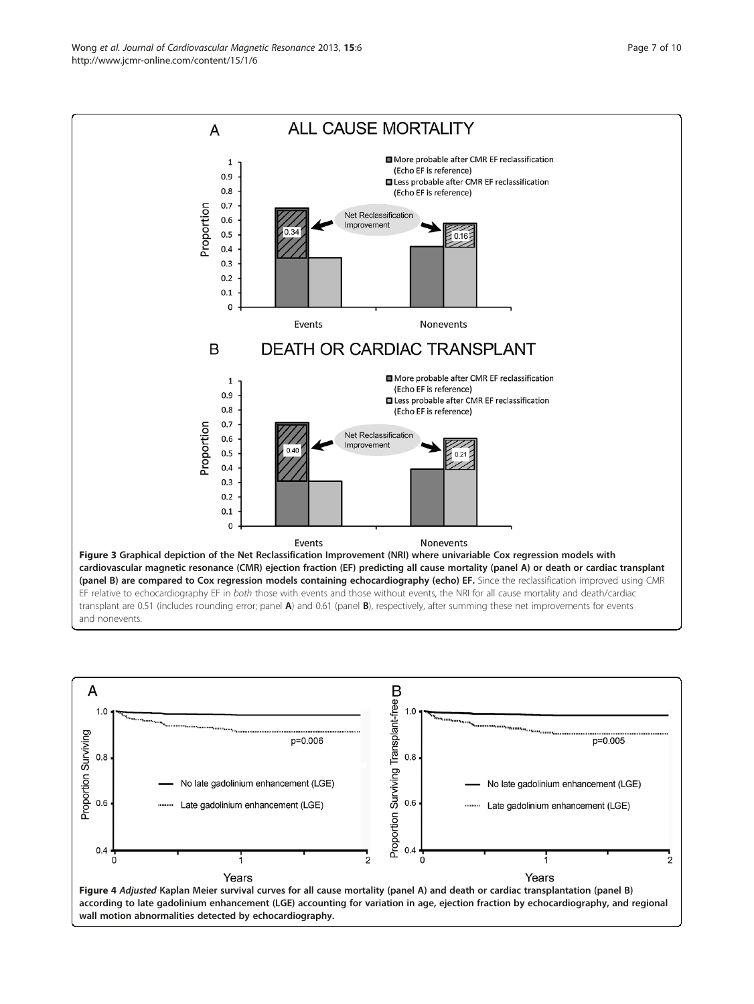<span id="page-6-0"></span>Wong et al. Journal of Cardiovascular Magnetic Resonance 2013, 15:6 Page 7 of 10 http://www.jcmr-online.com/content/15/1/6



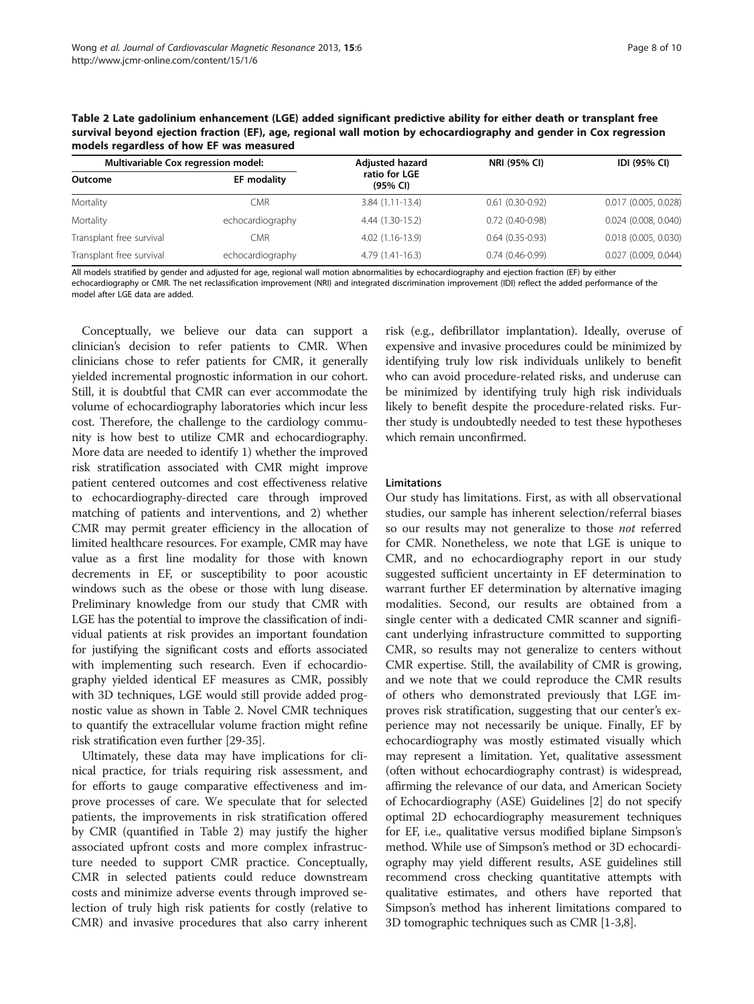<span id="page-7-0"></span>Table 2 Late gadolinium enhancement (LGE) added significant predictive ability for either death or transplant free survival beyond ejection fraction (EF), age, regional wall motion by echocardiography and gender in Cox regression models regardless of how EF was measured

| Multivariable Cox regression model: |                  | Adjusted hazard           | NRI (95% CI)      | IDI (95% CI)             |
|-------------------------------------|------------------|---------------------------|-------------------|--------------------------|
| Outcome                             | EF modality      | ratio for LGE<br>(95% CI) |                   |                          |
| Mortality                           | <b>CMR</b>       | $3.84(1.11-13.4)$         | $0.61(0.30-0.92)$ | $0.017$ (0.005, 0.028)   |
| Mortality                           | echocardiography | 4.44 (1.30-15.2)          | $0.72(0.40-0.98)$ | $0.024$ (0.008, 0.040)   |
| Transplant free survival            | CMR              | 4.02 (1.16-13.9)          | $0.64(0.35-0.93)$ | $0.018$ $(0.005, 0.030)$ |
| Transplant free survival            | echocardiography | 4.79 (1.41-16.3)          | $0.74(0.46-0.99)$ | 0.027 (0.009, 0.044)     |

All models stratified by gender and adjusted for age, regional wall motion abnormalities by echocardiography and ejection fraction (EF) by either

echocardiography or CMR. The net reclassification improvement (NRI) and integrated discrimination improvement (IDI) reflect the added performance of the model after LGE data are added.

Conceptually, we believe our data can support a clinician's decision to refer patients to CMR. When clinicians chose to refer patients for CMR, it generally yielded incremental prognostic information in our cohort. Still, it is doubtful that CMR can ever accommodate the volume of echocardiography laboratories which incur less cost. Therefore, the challenge to the cardiology community is how best to utilize CMR and echocardiography. More data are needed to identify 1) whether the improved risk stratification associated with CMR might improve patient centered outcomes and cost effectiveness relative to echocardiography-directed care through improved matching of patients and interventions, and 2) whether CMR may permit greater efficiency in the allocation of limited healthcare resources. For example, CMR may have value as a first line modality for those with known decrements in EF, or susceptibility to poor acoustic windows such as the obese or those with lung disease. Preliminary knowledge from our study that CMR with LGE has the potential to improve the classification of individual patients at risk provides an important foundation for justifying the significant costs and efforts associated with implementing such research. Even if echocardiography yielded identical EF measures as CMR, possibly with 3D techniques, LGE would still provide added prognostic value as shown in Table 2. Novel CMR techniques to quantify the extracellular volume fraction might refine risk stratification even further [\[29-35](#page-9-0)].

Ultimately, these data may have implications for clinical practice, for trials requiring risk assessment, and for efforts to gauge comparative effectiveness and improve processes of care. We speculate that for selected patients, the improvements in risk stratification offered by CMR (quantified in Table 2) may justify the higher associated upfront costs and more complex infrastructure needed to support CMR practice. Conceptually, CMR in selected patients could reduce downstream costs and minimize adverse events through improved selection of truly high risk patients for costly (relative to CMR) and invasive procedures that also carry inherent risk (e.g., defibrillator implantation). Ideally, overuse of expensive and invasive procedures could be minimized by identifying truly low risk individuals unlikely to benefit who can avoid procedure-related risks, and underuse can be minimized by identifying truly high risk individuals likely to benefit despite the procedure-related risks. Further study is undoubtedly needed to test these hypotheses which remain unconfirmed.

# Limitations

Our study has limitations. First, as with all observational studies, our sample has inherent selection/referral biases so our results may not generalize to those *not* referred for CMR. Nonetheless, we note that LGE is unique to CMR, and no echocardiography report in our study suggested sufficient uncertainty in EF determination to warrant further EF determination by alternative imaging modalities. Second, our results are obtained from a single center with a dedicated CMR scanner and significant underlying infrastructure committed to supporting CMR, so results may not generalize to centers without CMR expertise. Still, the availability of CMR is growing, and we note that we could reproduce the CMR results of others who demonstrated previously that LGE improves risk stratification, suggesting that our center's experience may not necessarily be unique. Finally, EF by echocardiography was mostly estimated visually which may represent a limitation. Yet, qualitative assessment (often without echocardiography contrast) is widespread, affirming the relevance of our data, and American Society of Echocardiography (ASE) Guidelines [[2](#page-8-0)] do not specify optimal 2D echocardiography measurement techniques for EF, i.e., qualitative versus modified biplane Simpson's method. While use of Simpson's method or 3D echocardiography may yield different results, ASE guidelines still recommend cross checking quantitative attempts with qualitative estimates, and others have reported that Simpson's method has inherent limitations compared to 3D tomographic techniques such as CMR [[1-3,8\]](#page-8-0).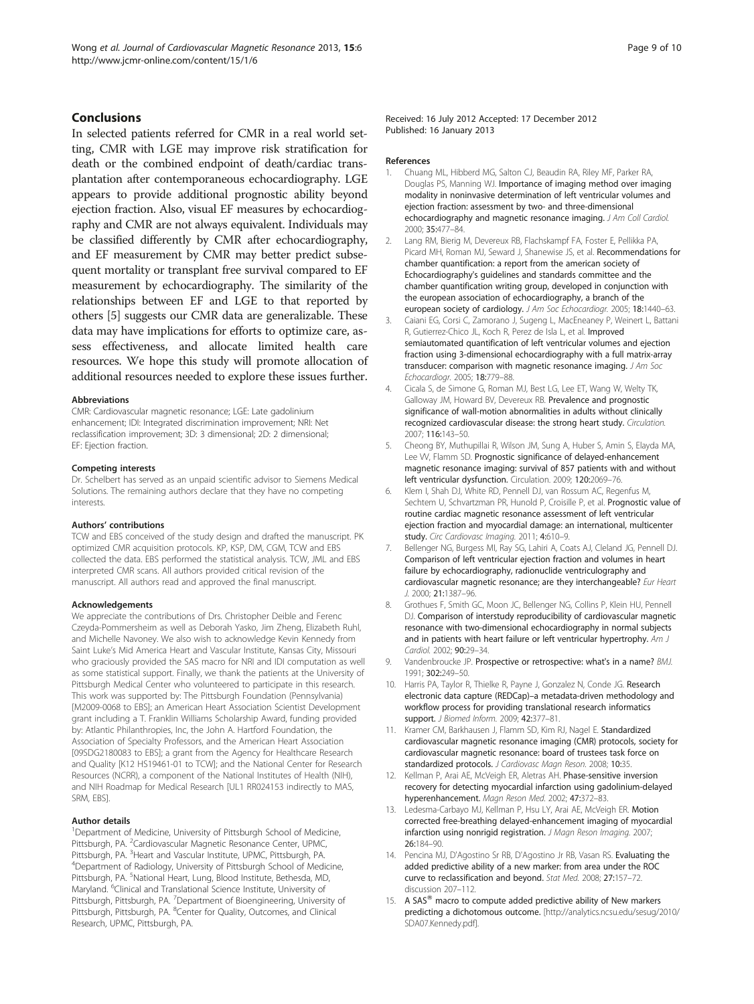# <span id="page-8-0"></span>Conclusions

In selected patients referred for CMR in a real world setting, CMR with LGE may improve risk stratification for death or the combined endpoint of death/cardiac transplantation after contemporaneous echocardiography. LGE appears to provide additional prognostic ability beyond ejection fraction. Also, visual EF measures by echocardiography and CMR are not always equivalent. Individuals may be classified differently by CMR after echocardiography, and EF measurement by CMR may better predict subsequent mortality or transplant free survival compared to EF measurement by echocardiography. The similarity of the relationships between EF and LGE to that reported by others [5] suggests our CMR data are generalizable. These data may have implications for efforts to optimize care, assess effectiveness, and allocate limited health care resources. We hope this study will promote allocation of additional resources needed to explore these issues further.

#### Abbreviations

CMR: Cardiovascular magnetic resonance; LGE: Late gadolinium enhancement; IDI: Integrated discrimination improvement; NRI: Net reclassification improvement; 3D: 3 dimensional; 2D: 2 dimensional; EF: Ejection fraction.

#### Competing interests

Dr. Schelbert has served as an unpaid scientific advisor to Siemens Medical Solutions. The remaining authors declare that they have no competing interests.

#### Authors' contributions

TCW and EBS conceived of the study design and drafted the manuscript. PK optimized CMR acquisition protocols. KP, KSP, DM, CGM, TCW and EBS collected the data. EBS performed the statistical analysis. TCW, JML and EBS interpreted CMR scans. All authors provided critical revision of the manuscript. All authors read and approved the final manuscript.

#### Acknowledgements

We appreciate the contributions of Drs. Christopher Deible and Ferenc Czeyda-Pommersheim as well as Deborah Yasko, Jim Zheng, Elizabeth Ruhl, and Michelle Navoney. We also wish to acknowledge Kevin Kennedy from Saint Luke's Mid America Heart and Vascular Institute, Kansas City, Missouri who graciously provided the SAS macro for NRI and IDI computation as well as some statistical support. Finally, we thank the patients at the University of Pittsburgh Medical Center who volunteered to participate in this research. This work was supported by: The Pittsburgh Foundation (Pennsylvania) [M2009-0068 to EBS]; an American Heart Association Scientist Development grant including a T. Franklin Williams Scholarship Award, funding provided by: Atlantic Philanthropies, Inc, the John A. Hartford Foundation, the Association of Specialty Professors, and the American Heart Association [09SDG2180083 to EBS]; a grant from the Agency for Healthcare Research and Quality [K12 HS19461-01 to TCW]; and the National Center for Research Resources (NCRR), a component of the National Institutes of Health (NIH), and NIH Roadmap for Medical Research [UL1 RR024153 indirectly to MAS, SRM, EBS].

#### Author details

<sup>1</sup>Department of Medicine, University of Pittsburgh School of Medicine, Pittsburgh, PA. <sup>2</sup>Cardiovascular Magnetic Resonance Center, UPMC, Pittsburgh, PA. <sup>3</sup> Heart and Vascular Institute, UPMC, Pittsburgh, PA.<br><sup>4</sup> Department of Padiology, University of Pittsburgh School of Med <sup>4</sup>Department of Radiology, University of Pittsburgh School of Medicine, Pittsburgh, PA. <sup>5</sup>National Heart, Lung, Blood Institute, Bethesda, MD, Maryland. <sup>6</sup>Clinical and Translational Science Institute, University of Pittsburgh, Pittsburgh, PA. <sup>7</sup>Department of Bioengineering, University of Pittsburgh, Pittsburgh, PA. <sup>8</sup>Center for Quality, Outcomes, and Clinical Research, UPMC, Pittsburgh, PA.

Received: 16 July 2012 Accepted: 17 December 2012 Published: 16 January 2013

#### References

- 1. Chuang ML, Hibberd MG, Salton CJ, Beaudin RA, Riley MF, Parker RA, Douglas PS, Manning WJ. Importance of imaging method over imaging modality in noninvasive determination of left ventricular volumes and ejection fraction: assessment by two- and three-dimensional echocardiography and magnetic resonance imaging. J Am Coll Cardiol. 2000; 35:477–84.
- 2. Lang RM, Bierig M, Devereux RB, Flachskampf FA, Foster E, Pellikka PA, Picard MH, Roman MJ, Seward J, Shanewise JS, et al. Recommendations for chamber quantification: a report from the american society of Echocardiography's guidelines and standards committee and the chamber quantification writing group, developed in conjunction with the european association of echocardiography, a branch of the european society of cardiology. J Am Soc Echocardiogr. 2005; 18:1440-63.
- 3. Caiani EG, Corsi C, Zamorano J, Sugeng L, MacEneaney P, Weinert L, Battani R, Gutierrez-Chico JL, Koch R, Perez de Isla L, et al. Improved semiautomated quantification of left ventricular volumes and ejection fraction using 3-dimensional echocardiography with a full matrix-array transducer: comparison with magnetic resonance imaging. J Am Soc Echocardiogr. 2005; 18:779–88.
- 4. Cicala S, de Simone G, Roman MJ, Best LG, Lee ET, Wang W, Welty TK, Galloway JM, Howard BV, Devereux RB. Prevalence and prognostic significance of wall-motion abnormalities in adults without clinically recognized cardiovascular disease: the strong heart study. Circulation. 2007; 116:143–50.
- 5. Cheong BY, Muthupillai R, Wilson JM, Sung A, Huber S, Amin S, Elayda MA, Lee VV, Flamm SD. Prognostic significance of delayed-enhancement magnetic resonance imaging: survival of 857 patients with and without left ventricular dysfunction. Circulation. 2009; 120:2069–76.
- 6. Klem I, Shah DJ, White RD, Pennell DJ, van Rossum AC, Regenfus M, Sechtem U, Schvartzman PR, Hunold P, Croisille P, et al. Prognostic value of routine cardiac magnetic resonance assessment of left ventricular ejection fraction and myocardial damage: an international, multicenter study. Circ Cardiovasc Imaging. 2011; 4:610-9.
- 7. Bellenger NG, Burgess MI, Ray SG, Lahiri A, Coats AJ, Cleland JG, Pennell DJ. Comparison of left ventricular ejection fraction and volumes in heart failure by echocardiography, radionuclide ventriculography and cardiovascular magnetic resonance; are they interchangeable? Eur Heart J. 2000; 21:1387–96.
- 8. Grothues F, Smith GC, Moon JC, Bellenger NG, Collins P, Klein HU, Pennell DJ. Comparison of interstudy reproducibility of cardiovascular magnetic resonance with two-dimensional echocardiography in normal subjects and in patients with heart failure or left ventricular hypertrophy. Am J Cardiol. 2002; 90:29–34.
- 9. Vandenbroucke JP. Prospective or retrospective: what's in a name? BMJ. 1991; 302:249–50.
- 10. Harris PA, Taylor R, Thielke R, Payne J, Gonzalez N, Conde JG. Research electronic data capture (REDCap)–a metadata-driven methodology and workflow process for providing translational research informatics support. *J Biomed Inform.* 2009; 42:377-81.
- 11. Kramer CM, Barkhausen J, Flamm SD, Kim RJ, Nagel E. Standardized cardiovascular magnetic resonance imaging (CMR) protocols, society for cardiovascular magnetic resonance: board of trustees task force on standardized protocols. J Cardiovasc Magn Reson. 2008; 10:35.
- 12. Kellman P, Arai AE, McVeigh ER, Aletras AH. Phase-sensitive inversion recovery for detecting myocardial infarction using gadolinium-delayed hyperenhancement. Magn Reson Med. 2002; 47:372–83.
- 13. Ledesma-Carbayo MJ, Kellman P, Hsu LY, Arai AE, McVeigh ER. Motion corrected free-breathing delayed-enhancement imaging of myocardial infarction using nonrigid registration. J Magn Reson Imaging. 2007; 26:184–90.
- 14. Pencina MJ, D'Agostino Sr RB, D'Agostino Jr RB, Vasan RS. Evaluating the added predictive ability of a new marker: from area under the ROC curve to reclassification and beyond. Stat Med. 2008; 27:157–72. discussion 207–112.
- 15. A SAS<sup>®</sup> macro to compute added predictive ability of New markers predicting a dichotomous outcome. [\[http://analytics.ncsu.edu/sesug/2010/](http://analytics.ncsu.edu/sesug/2010/SDA07.Kennedy.pdf) [SDA07.Kennedy.pdf](http://analytics.ncsu.edu/sesug/2010/SDA07.Kennedy.pdf)].